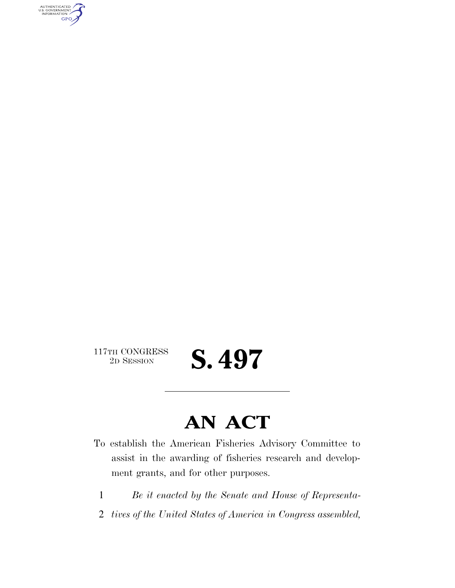AUTHENTICATED<br>U.S. GOVERNMENT<br>INFORMATION GPO

117TH CONGRESS<br>2D SESSION

**S. 497** 

## **AN ACT**

- To establish the American Fisheries Advisory Committee to assist in the awarding of fisheries research and development grants, and for other purposes.
	- 1 *Be it enacted by the Senate and House of Representa-*
	- 2 *tives of the United States of America in Congress assembled,*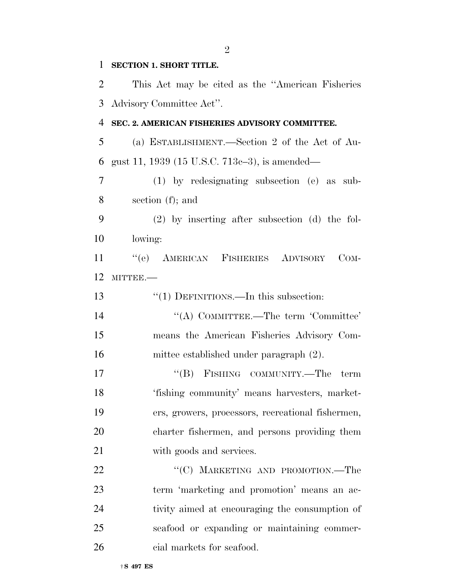| 1              | <b>SECTION 1. SHORT TITLE.</b>                     |
|----------------|----------------------------------------------------|
| 2              | This Act may be cited as the "American Fisheries"  |
| 3              | Advisory Committee Act".                           |
| $\overline{4}$ | SEC. 2. AMERICAN FISHERIES ADVISORY COMMITTEE.     |
| 5              | (a) ESTABLISHMENT.—Section 2 of the Act of Au-     |
| 6              | gust 11, 1939 (15 U.S.C. 713c-3), is amended—      |
| 7              | (1) by redesignating subsection (e) as sub-        |
| 8              | section $(f)$ ; and                                |
| 9              | $(2)$ by inserting after subsection $(d)$ the fol- |
| 10             | lowing:                                            |
| 11             | "(e) AMERICAN FISHERIES ADVISORY<br>$COM-$         |
| 12             | MITTEE.-                                           |
| 13             | $"(1)$ DEFINITIONS.—In this subsection:            |
| 14             | "(A) COMMITTEE.—The term 'Committee'               |
| 15             | means the American Fisheries Advisory Com-         |
| 16             | mittee established under paragraph (2).            |
| 17             | "(B) FISHING COMMUNITY.—The term                   |
| 18             | 'fishing community' means harvesters, market-      |
| 19             | ers, growers, processors, recreational fishermen,  |
| 20             | charter fishermen, and persons providing them      |
| 21             | with goods and services.                           |
| 22             | "(C) MARKETING AND PROMOTION.—The                  |
| 23             | term 'marketing and promotion' means an ac-        |
| 24             | tivity aimed at encouraging the consumption of     |
| 25             | seafood or expanding or maintaining commer-        |
| 26             | cial markets for seafood.                          |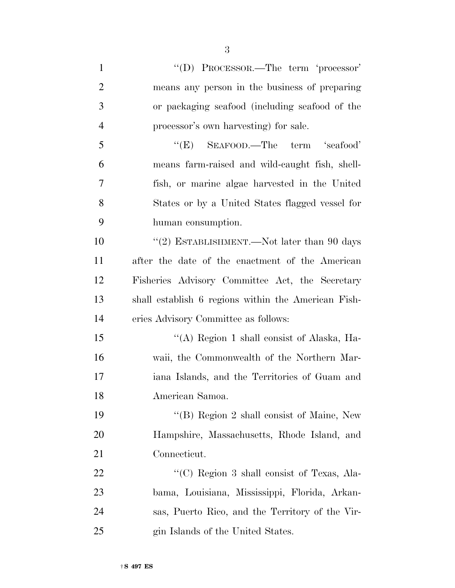1 ''(D) PROCESSOR.—The term 'processor' means any person in the business of preparing or packaging seafood (including seafood of the processor's own harvesting) for sale. 5 "(E) SEAFOOD.—The term 'seafood' means farm-raised and wild-caught fish, shell- fish, or marine algae harvested in the United States or by a United States flagged vessel for human consumption. 10 "(2) ESTABLISHMENT.—Not later than 90 days after the date of the enactment of the American Fisheries Advisory Committee Act, the Secretary shall establish 6 regions within the American Fish- eries Advisory Committee as follows: ''(A) Region 1 shall consist of Alaska, Ha- waii, the Commonwealth of the Northern Mar- iana Islands, and the Territories of Guam and American Samoa. 19 ''(B) Region 2 shall consist of Maine, New Hampshire, Massachusetts, Rhode Island, and Connecticut. 22 "'(C) Region 3 shall consist of Texas, Ala- bama, Louisiana, Mississippi, Florida, Arkan- sas, Puerto Rico, and the Territory of the Vir-25 gin Islands of the United States.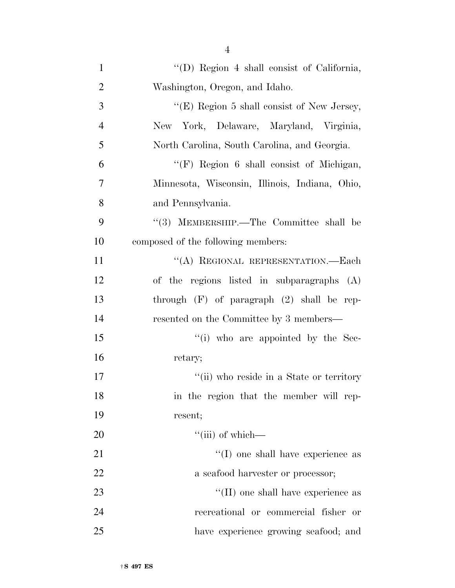| $\mathbf{1}$   | "(D) Region 4 shall consist of California,     |
|----------------|------------------------------------------------|
| $\overline{2}$ | Washington, Oregon, and Idaho.                 |
| 3              | "(E) Region 5 shall consist of New Jersey,     |
|                |                                                |
| 4              | New York, Delaware, Maryland, Virginia,        |
| 5              | North Carolina, South Carolina, and Georgia.   |
| 6              | " $(F)$ Region 6 shall consist of Michigan,    |
| 7              | Minnesota, Wisconsin, Illinois, Indiana, Ohio, |
| 8              | and Pennsylvania.                              |
| 9              | "(3) MEMBERSHIP.—The Committee shall be        |
| 10             | composed of the following members:             |
| 11             | "(A) REGIONAL REPRESENTATION.-Each             |
| 12             | of the regions listed in subparagraphs $(A)$   |
| 13             | through $(F)$ of paragraph $(2)$ shall be rep- |
| 14             | resented on the Committee by 3 members—        |
| 15             | "(i) who are appointed by the Sec-             |
| 16             | retary;                                        |
| 17             | "(ii) who reside in a State or territory       |
| 18             | in the region that the member will rep-        |
| 19             | resent;                                        |
| 20             | "(iii) of which—                               |
| 21             | $\lq\lq$ (I) one shall have experience as      |
| 22             | a seafood harvester or processor;              |
| 23             | "(II) one shall have experience as             |
| 24             | recreational or commercial fisher or           |
| 25             | have experience growing seafood; and           |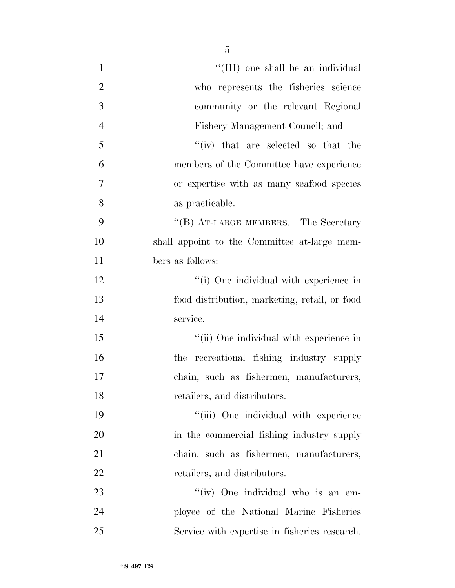| $\mathbf{1}$   | "(III) one shall be an individual             |
|----------------|-----------------------------------------------|
| $\overline{2}$ | who represents the fisheries science          |
| 3              | community or the relevant Regional            |
| $\overline{4}$ | Fishery Management Council; and               |
| 5              | $``(iv)$ that are selected so that the        |
| 6              | members of the Committee have experience      |
| $\overline{7}$ | or expertise with as many seafood species     |
| 8              | as practicable.                               |
| 9              | "(B) AT-LARGE MEMBERS.—The Secretary          |
| 10             | shall appoint to the Committee at-large mem-  |
| 11             | bers as follows:                              |
| 12             | "(i) One individual with experience in        |
| 13             | food distribution, marketing, retail, or food |
| 14             | service.                                      |
| 15             | "(ii) One individual with experience in       |
| 16             | the recreational fishing industry supply      |
| 17             | chain, such as fishermen, manufacturers,      |
| 18             | retailers, and distributors.                  |
| 19             | "(iii) One individual with experience         |
| 20             | in the commercial fishing industry supply     |
| 21             | chain, such as fishermen, manufacturers,      |
| 22             | retailers, and distributors.                  |
| 23             | "(iv) One individual who is an em-            |
| 24             | ployee of the National Marine Fisheries       |
| 25             | Service with expertise in fisheries research. |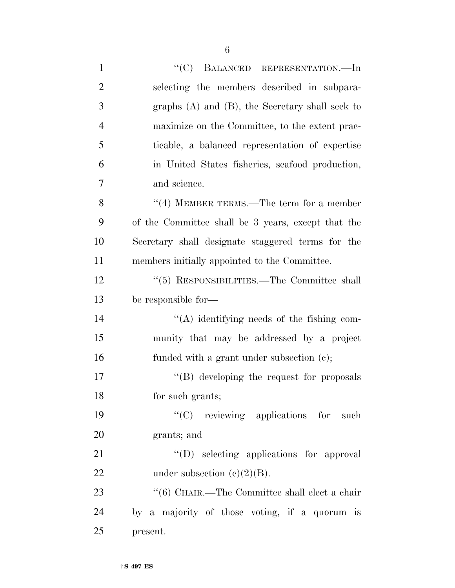| $\mathbf{1}$   | "(C) BALANCED REPRESENTATION.—In                      |
|----------------|-------------------------------------------------------|
| $\overline{2}$ | selecting the members described in subpara-           |
| 3              | graphs $(A)$ and $(B)$ , the Secretary shall seek to  |
| $\overline{4}$ | maximize on the Committee, to the extent prac-        |
| 5              | ticable, a balanced representation of expertise       |
| 6              | in United States fisheries, seafood production,       |
| 7              | and science.                                          |
| 8              | $``(4)$ MEMBER TERMS.—The term for a member           |
| 9              | of the Committee shall be 3 years, except that the    |
| 10             | Secretary shall designate staggered terms for the     |
| 11             | members initially appointed to the Committee.         |
| 12             | "(5) RESPONSIBILITIES.—The Committee shall            |
| 13             | be responsible for-                                   |
| 14             | "(A) identifying needs of the fishing com-            |
| 15             | munity that may be addressed by a project             |
| 16             | funded with a grant under subsection (c);             |
| 17             | $\lq\lq (B)$ developing the request for proposals     |
| 18             | for such grants;                                      |
| 19             | "(C) reviewing applications for such                  |
| 20             | grants; and                                           |
| 21             | "(D) selecting applications for approval              |
| 22             | under subsection $(c)(2)(B)$ .                        |
| 23             | $\lq\lq (6)$ CHAIR.—The Committee shall elect a chair |
| 24             | by a majority of those voting, if a quorum is         |
| 25             | present.                                              |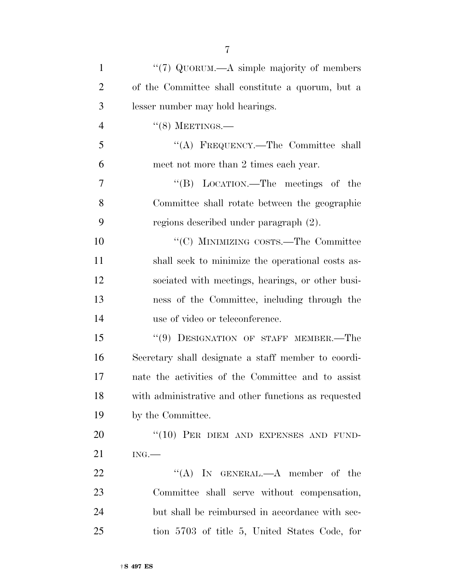| $\mathbf{1}$   | "(7) QUORUM.—A simple majority of members            |
|----------------|------------------------------------------------------|
| $\overline{2}$ | of the Committee shall constitute a quorum, but a    |
| 3              | lesser number may hold hearings.                     |
| $\overline{4}$ | $``(8)$ MEETINGS.—                                   |
| 5              | "(A) FREQUENCY.—The Committee shall                  |
| 6              | meet not more than 2 times each year.                |
| 7              | "(B) LOCATION.—The meetings of the                   |
| 8              | Committee shall rotate between the geographic        |
| 9              | regions described under paragraph (2).               |
| 10             | "(C) MINIMIZING COSTS.—The Committee                 |
| 11             | shall seek to minimize the operational costs as-     |
| 12             | sociated with meetings, hearings, or other busi-     |
| 13             | ness of the Committee, including through the         |
| 14             | use of video or teleconference.                      |
| 15             | "(9) DESIGNATION OF STAFF MEMBER.-The                |
| 16             | Secretary shall designate a staff member to coordi-  |
| 17             | nate the activities of the Committee and to assist   |
| 18             | with administrative and other functions as requested |
| 19             | by the Committee.                                    |
| 20             | "(10) PER DIEM AND EXPENSES AND FUND-                |
| 21             | ING.                                                 |
| 22             | "(A) IN GENERAL.—A member of the                     |
| 23             | Committee shall serve without compensation,          |
| 24             | but shall be reimbursed in accordance with sec-      |
| 25             | tion 5703 of title 5, United States Code, for        |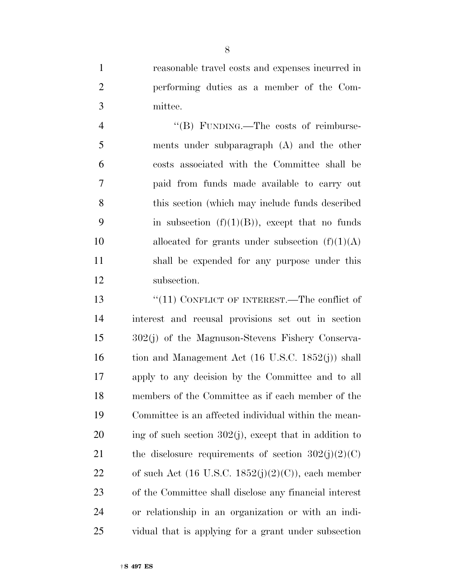reasonable travel costs and expenses incurred in performing duties as a member of the Com-mittee.

4 "(B) FUNDING.—The costs of reimburse- ments under subparagraph (A) and the other costs associated with the Committee shall be paid from funds made available to carry out this section (which may include funds described 9 in subsection  $(f)(1)(B)$ , except that no funds 10 allocated for grants under subsection  $(f)(1)(A)$  shall be expended for any purpose under this subsection.

13 "(11) CONFLICT OF INTEREST.—The conflict of interest and recusal provisions set out in section 302(j) of the Magnuson-Stevens Fishery Conserva-16 tion and Management Act (16 U.S.C. 1852(j)) shall apply to any decision by the Committee and to all members of the Committee as if each member of the Committee is an affected individual within the mean- ing of such section  $302(j)$ , except that in addition to 21 the disclosure requirements of section  $302(i)(2)(C)$ 22 of such Act  $(16 \text{ U.S.C. } 1852(j)(2)(C))$ , each member of the Committee shall disclose any financial interest or relationship in an organization or with an indi-vidual that is applying for a grant under subsection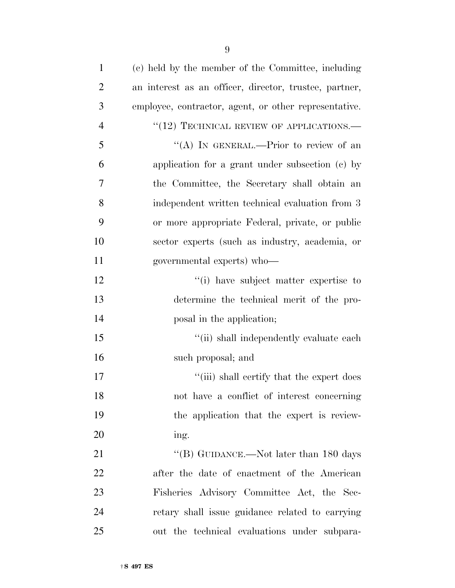| $\mathbf{1}$   | (c) held by the member of the Committee, including     |
|----------------|--------------------------------------------------------|
| $\overline{2}$ | an interest as an officer, director, trustee, partner, |
| 3              | employee, contractor, agent, or other representative.  |
| $\overline{4}$ | $``(12)$ TECHNICAL REVIEW OF APPLICATIONS.—            |
| 5              | "(A) IN GENERAL.—Prior to review of an                 |
| 6              | application for a grant under subsection (c) by        |
| 7              | the Committee, the Secretary shall obtain an           |
| 8              | independent written technical evaluation from 3        |
| 9              | or more appropriate Federal, private, or public        |
| 10             | sector experts (such as industry, academia, or         |
| 11             | governmental experts) who-                             |
| 12             | "(i) have subject matter expertise to                  |
| 13             | determine the technical merit of the pro-              |
| 14             | posal in the application;                              |
| 15             | "(ii) shall independently evaluate each                |
| 16             | such proposal; and                                     |
| 17             | "(iii) shall certify that the expert does              |
| 18             | not have a conflict of interest concerning             |
| 19             | the application that the expert is review-             |
| 20             | ing.                                                   |
| 21             | "(B) GUIDANCE.—Not later than 180 days                 |
| 22             | after the date of enactment of the American            |
| 23             | Fisheries Advisory Committee Act, the Sec-             |
| 24             | retary shall issue guidance related to carrying        |
| 25             | out the technical evaluations under subpara-           |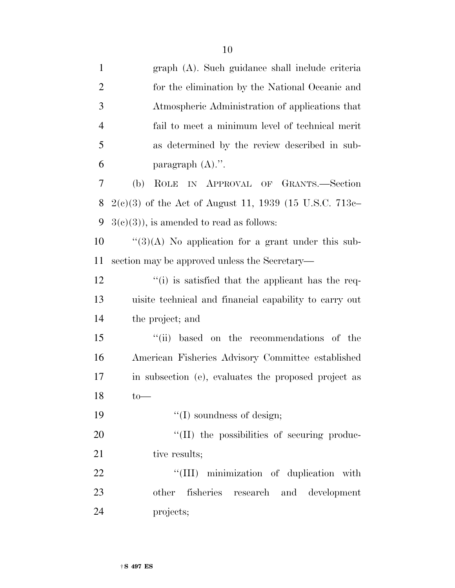| $\mathbf{1}$   | graph (A). Such guidance shall include criteria          |
|----------------|----------------------------------------------------------|
| $\overline{2}$ | for the elimination by the National Oceanic and          |
| 3              | Atmospheric Administration of applications that          |
| $\overline{4}$ | fail to meet a minimum level of technical merit          |
| 5              | as determined by the review described in sub-            |
| 6              | paragraph $(A)$ .".                                      |
| 7              | (b)<br>ROLE IN APPROVAL OF GRANTS.-Section               |
| 8              | $2(c)(3)$ of the Act of August 11, 1939 (15 U.S.C. 713c- |
| 9              | $3(c)(3)$ , is amended to read as follows:               |
| 10             | $\lq(3)(A)$ No application for a grant under this sub-   |
| 11             | section may be approved unless the Secretary—            |
| 12             | "(i) is satisfied that the applicant has the req-        |
| 13             | uisite technical and financial capability to carry out   |
| 14             | the project; and                                         |
| 15             | ``(ii)<br>based on the recommendations of the            |
| 16             | American Fisheries Advisory Committee established        |
| 17             | in subsection (e), evaluates the proposed project as     |
| 18             | $to-$                                                    |
| 19             | $\lq\lq$ soundness of design;                            |
| 20             | "(II) the possibilities of securing produc-              |
| 21             | tive results;                                            |
| 22             | "(III) minimization of duplication with                  |
| 23             | other fisheries<br>research and development              |
| 24             | projects;                                                |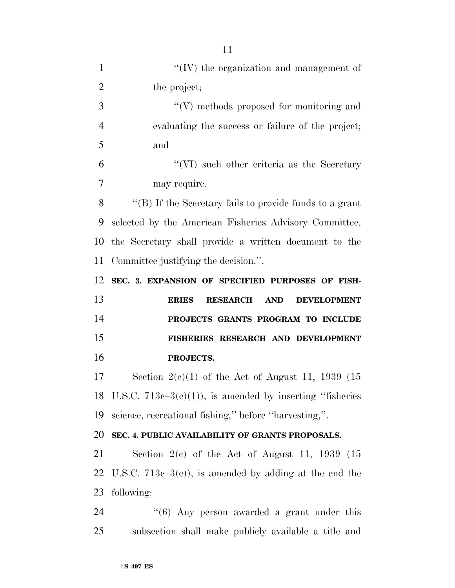| $\mathbf{1}$   | $\lq\lq$ (IV) the organization and management of                    |
|----------------|---------------------------------------------------------------------|
| $\overline{2}$ | the project;                                                        |
| 3              | $\lq\lq(V)$ methods proposed for monitoring and                     |
| $\overline{4}$ | evaluating the success or failure of the project;                   |
| 5              | and                                                                 |
| 6              | "(VI) such other criteria as the Secretary                          |
| 7              | may require.                                                        |
| 8              | "(B) If the Secretary fails to provide funds to a grant             |
| 9              | selected by the American Fisheries Advisory Committee,              |
| 10             | the Secretary shall provide a written document to the               |
| 11             | Committee justifying the decision.".                                |
| 12             | SEC. 3. EXPANSION OF SPECIFIED PURPOSES OF FISH-                    |
| 13             | <b>AND</b><br><b>DEVELOPMENT</b><br><b>RESEARCH</b><br><b>ERIES</b> |
|                |                                                                     |
| 14             | PROJECTS GRANTS PROGRAM TO INCLUDE                                  |
| 15             | FISHERIES RESEARCH AND DEVELOPMENT                                  |
| 16             | PROJECTS.                                                           |
| 17             | Section $2(e)(1)$ of the Act of August 11, 1939 (15)                |
|                | 18 U.S.C. $713e-3(e)(1)$ , is amended by inserting "fisheries"      |
|                | science, recreational fishing," before "harvesting,".               |
| 19<br>20       | SEC. 4. PUBLIC AVAILABILITY OF GRANTS PROPOSALS.                    |
| 21             | Section $2(e)$ of the Act of August 11, 1939 (15                    |
| 22             | U.S.C. 713c–3(c)), is amended by adding at the end the              |
| 23             | following:                                                          |
| 24             | $\cdot\cdot$ (6) Any person awarded a grant under this              |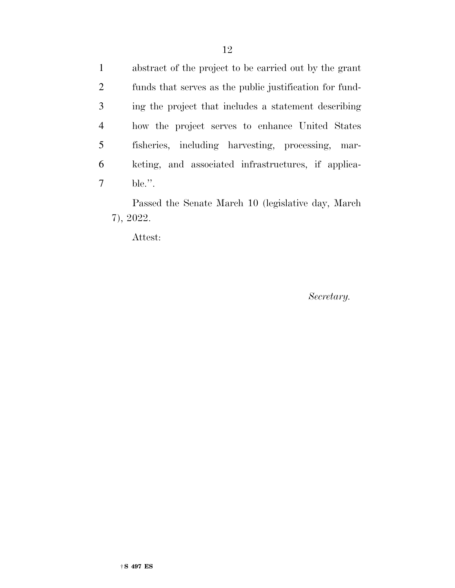abstract of the project to be carried out by the grant funds that serves as the public justification for fund- ing the project that includes a statement describing how the project serves to enhance United States fisheries, including harvesting, processing, mar- keting, and associated infrastructures, if applica-ble.''.

Passed the Senate March 10 (legislative day, March 7), 2022.

Attest:

*Secretary.*